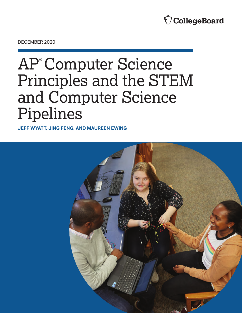

DECEMBER 2020

# AP® Computer Science Principles and the STEM and Computer Science Pipelines

**JEFF WYATT, JING FENG, AND MAUREEN EWING**

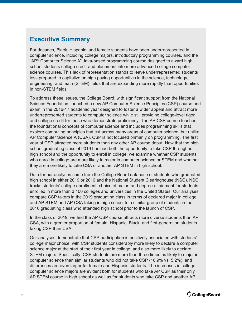## **Executive Summary**

For decades, Black, Hispanic, and female students have been underrepresented in computer science, including college majors, introductory programming courses, and the "AP® Computer Science A" Java-based programming course designed to award high school students college credit and placement into more advanced college computer science courses. This lack of representation stands to leave underrepresented students less prepared to capitalize on high paying opportunities in the science, technology, engineering, and math (STEM) fields that are expanding more rapidly than opportunities in non-STEM fields.

To address these issues, the College Board, with significant support from the National Science Foundation, launched a new AP Computer Science Principles (CSP) course and exam in the 2016-17 academic year designed to foster a wider appeal and attract more underrepresented students to computer science while still providing college-level rigor and college credit for those who demonstrate proficiency. The AP CSP course teaches the foundational concepts of computer science and includes programming skills that explore computing principles that cut across many areas of computer science, but unlike AP Computer Science A (CSA), CSP is not focused primarily on programming. The first year of CSP attracted more students than any other AP course debut. Now that the high school graduating class of 2019 has had both the opportunity to take CSP throughout high school and the opportunity to enroll in college, we examine whether CSP students who enroll in college are more likely to major in computer science or STEM and whether they are more likely to take CSA or another AP STEM in high school.

Data for our analyses come from the College Board database of students who graduated high school in either 2019 or 2016 and the National Student Clearinghouse (NSC). NSC tracks students' college enrollment, choice of major, and degree attainment for students enrolled in more than 3,100 colleges and universities in the United States. Our analyses compare CSP takers in the 2019 graduating class in terms of declared major in college and AP STEM and AP CSA taking in high school to a similar group of students in the 2016 graduating class who attended high school prior to the launch of CSP.

In the class of 2019, we find the AP CSP course attracts more diverse students than AP CSA, with a greater proportion of female, Hispanic, Black, and first-generation students taking CSP than CSA.

Our analyses demonstrate that CSP participation is positively associated with students' college major choice, with CSP students considerably more likely to declare a computer science major at the start of their first year in college, and also more likely to declare STEM majors. Specifically, CSP students are more than three times as likely to major in computer science than similar students who did not take CSP (16.9% vs. 5.2%), and differences are even larger for female and Hispanic students. The increases in college computer science majors are evident both for students who take AP CSP as their only AP STEM course in high school as well as for students who take CSP and another AP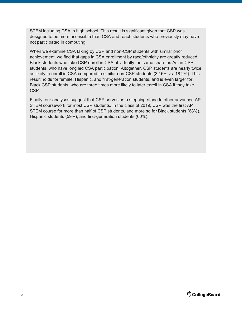STEM including CSA in high school. This result is significant given that CSP was designed to be more accessible than CSA and reach students who previously may have not participated in computing.

When we examine CSA taking by CSP and non-CSP students with similar prior achievement, we find that gaps in CSA enrollment by race/ethnicity are greatly reduced. Black students who take CSP enroll in CSA at virtually the same share as Asian CSP students, who have long led CSA participation. Altogether, CSP students are nearly twice as likely to enroll in CSA compared to similar non-CSP students (32.5% vs. 18.2%). This result holds for female, Hispanic, and first-generation students, and is even larger for Black CSP students, who are three times more likely to later enroll in CSA if they take CSP.

Finally, our analyses suggest that CSP serves as a stepping-stone to other advanced AP STEM coursework for most CSP students. In the class of 2019, CSP was the first AP STEM course for more than half of CSP students, and more so for Black students (68%), Hispanic students (59%), and first-generation students (60%).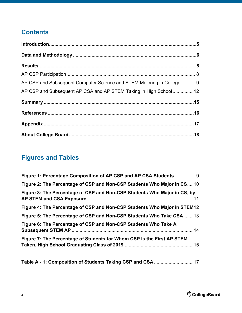# **Contents**

| AP CSP and Subsequent Computer Science and STEM Majoring in College 9 |  |
|-----------------------------------------------------------------------|--|
| AP CSP and Subsequent AP CSA and AP STEM Taking in High School 12     |  |
|                                                                       |  |
|                                                                       |  |
|                                                                       |  |
|                                                                       |  |

# **Figures and Tables**

| Figure 1: Percentage Composition of AP CSP and AP CSA Students 9         |  |
|--------------------------------------------------------------------------|--|
| Figure 2: The Percentage of CSP and Non-CSP Students Who Major in CS 10  |  |
| Figure 3: The Percentage of CSP and Non-CSP Students Who Major in CS, by |  |
| Figure 4: The Percentage of CSP and Non-CSP Students Who Major in STEM12 |  |
| Figure 5: The Percentage of CSP and Non-CSP Students Who Take CSA 13     |  |
| Figure 6: The Percentage of CSP and Non-CSP Students Who Take A          |  |
| Figure 7: The Percentage of Students for Whom CSP Is the First AP STEM   |  |

**[Table A - 1: Composition of Students Taking CSP and CSA](#page-16-0)** ............................. 17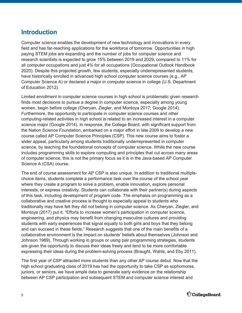## <span id="page-4-0"></span>**Introduction**

Computer science enables the development of new technology and innovations in every field and has far-reaching applications for the workforce of tomorrow. Opportunities in high paying STEM jobs are expanding and the number of jobs for computer science and research scientists is expected to grow 15% between 2019 and 2029, compared to 11% for all computer occupations and just 4% for all occupations (Occupational Outlook Handbook 2020). Despite this projected growth, few students, especially underrepresented students, have historically enrolled in advanced high school computer science courses (e.g., AP Computer Science A) or declared a major in computer science in college (U.S. Department of Education 2012).

Limited enrollment in computer science courses in high school is problematic given research finds most decisions to pursue a degree in computer science, especially among young women, begin before college (Cheryan, Ziegler, and Montoya 2017; Google 2014). Furthermore, the opportunity to participate in computer science courses and other computing-related activities in high school is related to an increased interest in a computer science major (Google 2014). In response, the College Board, with significant support from the Nation Science Foundation, embarked on a major effort in late 2009 to develop a new course called AP Computer Science Principles (CSP). This new course aims to foster a wider appeal, particularly among students traditionally underrepresented in computer science, by teaching the foundational concepts of computer science. While the new course includes programming skills to explore computing and principles that cut across many areas of computer science, this is not the primary focus as it is in the Java-based AP Computer Science A (CSA) course.

The end of course assessment for AP CSP is also unique. In addition to traditional multiplechoice items, students complete a performance task over the course of the school year where they create a program to solve a problem, enable innovation, explore personal interests, or express creativity. Students can collaborate with their partner(s) during aspects of this task, including development of program code. The emphasis on programming as a collaborative and creative process is thought to especially appeal to students who traditionally may have felt they did not belong in computer science. As Cheryan, Ziegler, and Montoya (2017) put it, "Efforts to increase women's participation in computer science, engineering, and physics may benefit from changing masculine cultures and providing students with early experiences that signal equally to both girls and boys that they belong and can succeed in these fields." Research suggests that one of the main benefits of a collaborative environment is the impact on students' beliefs about themselves (Johnson and Johnson 1989). Through working in groups or using pair programming strategies, students are given the opportunity to discuss their ideas freely and tend to be more comfortable expressing their ideas during the problem-solving process (Braught, Wahls, and Eby 2011).

The first year of CSP attracted more students than any other AP course debut. Now that the high school graduating class of 2019 has had the opportunity to take CSP as sophomores, juniors, or seniors, we have ample data to generate early evidence on the relationship between AP CSP participation and subsequent STEM and computer science interest and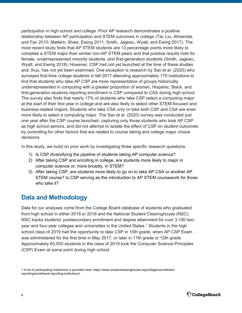<span id="page-5-0"></span>participation in high school and college. Prior AP research demonstrates a positive relationship between AP participation and STEM outcomes in college (Tai, Liu, Almarode, and Fan 2010; Mattern, Shaw, Ewing 2011; Smith, Jagesic, Wyatt, and Ewing 2017). The most recent study finds that AP STEM students are 13 percentage points more likely to complete a STEM major than similar non-AP STEM peers and that positive results hold for female, underrepresented minority students, and first-generation students (Smith, Jagesic, Wyatt, and Ewing 2018). However, CSP had not yet launched at the time of these studies and, thus, has not yet been examined. One exception is research by Sax et al. (2020) who surveyed first-time college students in fall 2017 attending approximately 170 institutions to find that students who take AP CSP are more representative of groups historically underrepresented in computing with a greater proportion of women, Hispanic, Black, and first-generation students reporting enrollment in CSP compared to CSA during high school. The survey also finds that nearly 17% of students who take CSP select a computing major at the start of their first year in college and are also likely to select other STEM-focused and business-related majors. Students who take CSA only or take both CSP and CSA are even more likely to select a computing major. The Sax et al. (2020) survey was conducted just one year after the CSP course launched, capturing only those students who took AP CSP as high school seniors, and did not attempt to isolate the effect of CSP on student outcomes by controlling for other factors that are related to course taking and college major choice decisions.

In this study, we build on prior work by investigating three specific research questions:

- 1) Is CSP diversifying the pipeline of students taking AP computer science?
- 2) After taking CSP and enrolling in college, are students more likely to major in computer science or, more broadly, in STEM?
- 3) After taking CSP, are students more likely to go on to take AP CSA or another AP STEM course? Is CSP serving as the introduction to AP STEM coursework for those who take it?

## **Data and Methodology**

Data for our analyses come from the College Board database of students who graduated from high school in either 2019 or 2016 and the National Student Clearinghouse (NSC). NSC tracks students' postsecondary enrollment and degree attainment for over 3,100 twoyear and four-year colleges and universities in the United States. $^{\rm 1}$  Students in the high school class of 2019 had the opportunity to take CSP in 10th grade, when AP CSP Exam was administered for the first time in May 2017, or later in 11th grade or 12th grade. Approximately 65,000 students in the class of 2019 took the Computer Science Principles (CSP) Exam at some point during high school.

<sup>1</sup> A list of participating institutions in provided here: https://www.studentclearinghouse.org/colleges/enrollmentreporting/enrollment-reporting-institutions/.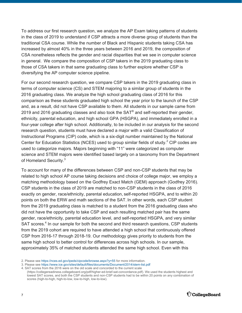To address our first research question, we analyze the AP Exam taking patterns of students in the class of 2019 to understand if CSP attracts a more diverse group of students than the traditional CSA course. While the number of Black and Hispanic students taking CSA has increased by almost 40% in the three years between 2016 and 2019, the composition of CSA nonetheless reflects the gender and racial disparities that we see in computer science in general. We compare the composition of CSP takers in the 2019 graduating class to those of CSA takers in that same graduating class to further explore whether CSP is diversifying the AP computer science pipeline.

For our second research question, we compare CSP takers in the 2019 graduating class in terms of computer science (CS) and STEM majoring to a similar group of students in the 2016 graduating class. We analyze the high school graduating class of 2016 for this comparison as these students graduated high school the year prior to the launch of the CSP and, as a result, did not have CSP available to them. All students in our sample came from 2019 and 2016 graduating classes and also took the SAT $^\circ$  and self-reported their gender, ethnicity, parental education, and high school GPA (HSGPA), and immediately enrolled in a four-year college after high school. Additionally, to be included in our analysis for the second research question, students must have declared a major with a valid Classification of Instructional Programs (CIP) code, which is a six-digit number maintained by the National Center for Education Statistics (NCES) used to group similar fields of study.<sup>2</sup> CIP codes are used to categorize majors. Majors beginning with "11" were categorized as computer science and STEM majors were identified based largely on a taxonomy from the Department of Homeland Security.<sup>3</sup>

To account for many of the differences between CSP and non-CSP students that may be related to high school AP course taking decisions and choice of college major, we employ a matching methodology based on the Godfrey Exact Match (GEM) approach (Godfrey 2016). CSP students in the class of 2019 are matched to non-CSP students in the class of 2016 exactly on gender, race/ethnicity, parental education, self-reported HSGPA, and to within 20 points on both the ERW and math sections of the SAT. In other words, each CSP student from the 2019 graduating class is matched to a student from the 2016 graduating class who did not have the opportunity to take CSP and each resulting matched pair has the same gender, race/ethnicity, parental education level, and self-reported HSGPA, and very similar SAT scores.<sup>4</sup> In our sample for both the second and third research questions, CSP students from the 2019 cohort are required to have attended a high school that continuously offered CSP from 2016-17 through 2018-19. Our methodology gives priority to students from the same high school to better control for differences across high schools. In our sample, approximately 35% of matched students attended the same high school. Even with this

[<sup>\(</sup>https://collegereadiness.collegeboard.org/pdf/higher-ed-brief-sat-concordance.pdf\)](https://collegereadiness.collegeboard.org/pdf/higher-ed-brief-sat-concordance.pdf). We used the students highest and lowest SAT scores, and both the CSP students and non-CSP students had to be within 20 points on any combination of scores (high-to-high, high-to-low, low-to-high, low-to-low).



<sup>2.</sup> Please se[e https://nces.ed.gov/ipeds/cipcode/browse.aspx?y=55](https://nces.ed.gov/ipeds/cipcode/browse.aspx?y=55) for more information.

<sup>3.</sup> Please se[e https://www.ice.gov/sites/default/files/documents/Document/2014/stem-list.pdf](https://www.ice.gov/sites/default/files/documents/Document/2014/stem-list.pdf)

<sup>4.</sup> SAT scores from the 2016 were on the old scale and concorded to the current scale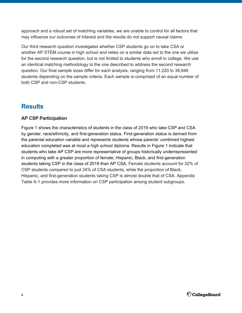<span id="page-7-0"></span>approach and a robust set of matching variables, we are unable to control for all factors that may influence our outcomes of interest and the results do not support causal claims.

Our third research question investigates whether CSP students go on to take CSA or another AP STEM course in high school and relies on a similar data set to the one we utilize for the second research question, but is not limited to students who enroll in college. We use an identical matching methodology to the one described to address the second research question. Our final sample sizes differ for each analysis, ranging from 11,220 to 36,848 students depending on the sample criteria. Each sample is comprised of an equal number of both CSP and non-CSP students.

## **Results**

#### **AP CSP Participation**

Figure 1 shows the characteristics of students in the class of 2019 who take CSP and CSA by gender, race/ethnicity, and first-generation status. First-generation status is derived from the parental education variable and represents students whose parents' combined highest education completed was at most a high school diploma. Results in Figure 1 indicate that students who take AP CSP are more representative of groups historically underrepresented in computing with a greater proportion of female, Hispanic, Black, and first-generation students taking CSP in the class of 2019 than AP CSA. Female students account for 32% of CSP students compared to just 24% of CSA students, while the proportion of Black, Hispanic, and first-generation students taking CSP is almost double that of CSA. Appendix Table A-1 provides more information on CSP participation among student subgroups.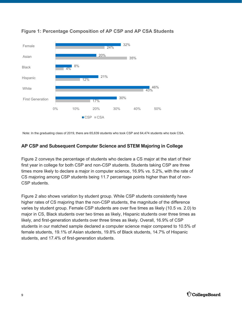

#### <span id="page-8-0"></span>**Figure 1: Percentage Composition of AP CSP and AP CSA Students**

Note: In the graduating class of 2019, there are 65,639 students who took CSP and 64,474 students who took CSA.

#### **AP CSP and Subsequent Computer Science and STEM Majoring in College**

Figure 2 conveys the percentage of students who declare a CS major at the start of their first year in college for both CSP and non-CSP students. Students taking CSP are three times more likely to declare a major in computer science, 16.9% vs. 5.2%, with the rate of CS majoring among CSP students being 11.7 percentage points higher than that of non-CSP students.

Figure 2 also shows variation by student group. While CSP students consistently have higher rates of CS majoring than the non-CSP students, the magnitude of the difference varies by student group. Female CSP students are over five times as likely (10.5 vs. 2.0) to major in CS, Black students over two times as likely, Hispanic students over three times as likely, and first-generation students over three times as likely. Overall, 16.9% of CSP students in our matched sample declared a computer science major compared to 10.5% of female students, 19.1% of Asian students, 19.8% of Black students, 14.7% of Hispanic students, and 17.4% of first-generation students.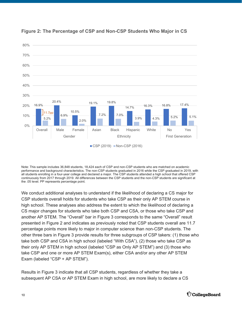

<span id="page-9-0"></span>

Note: This sample includes 36,848 students, 18,424 each of CSP and non-CSP students who are matched on academic performance and background characteristics. The non-CSP students graduated in 2016 while the CSP graduated in 2019, with all students enrolling in a four-year college and declared a major. The CSP students attended a high school that offered CSP continuously from 2017 through 2019. All differences between the CSP students and the non-CSP students are significant at the .05 level. PP represents percentage point.

We conduct additional analyses to understand if the likelihood of declaring a CS major for CSP students overall holds for students who take CSP as their only AP STEM course in high school. These analyses also address the extent to which the likelihood of declaring a CS major changes for students who take both CSP and CSA, or those who take CSP and another AP STEM. The "Overall" bar in Figure 3 corresponds to the same "Overall" result presented in Figure 2 and indicates as previously noted that CSP students overall are 11.7 percentage points more likely to major in computer science than non-CSP students. The other three bars in Figure 3 provide results for three subgroups of CSP takers: (1) those who take both CSP and CSA in high school (labeled "With CSA"), (2) those who take CSP as their only AP STEM in high school (labeled "CSP as Only AP STEM") and (3) those who take CSP and one or more AP STEM Exam(s), either CSA and/or any other AP STEM Exam (labeled "CSP + AP STEM").

Results in Figure 3 indicate that all CSP students, regardless of whether they take a subsequent AP CSA or AP STEM Exam in high school, are more likely to declare a CS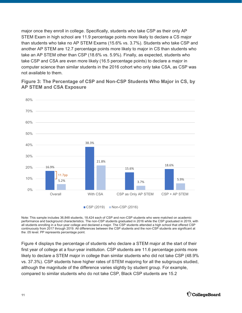<span id="page-10-0"></span>major once they enroll in college. Specifically, students who take CSP as their only AP STEM Exam in high school are 11.9 percentage points more likely to declare a CS major than students who take no AP STEM Exams (15.6% vs. 3.7%). Students who take CSP and another AP STEM are 12.7 percentage points more likely to major in CS than students who take an AP STEM other than CSP (18.6% vs. 5.9%). Finally, as expected, students who take CSP and CSA are even more likely (16.5 percentage points) to declare a major in computer science than similar students in the 2016 cohort who only take CSA, as CSP was not available to them.

16.9% 38.3% 15.6% 18.6% 5.2% 21.8% 3.7% 5.9% 0% 10% 20% 30% 40% 50% 60% 70% 80% Overall With CSA CSP as Only AP STEM CSP + AP STEM  $CSP(2019)$  Non-CSP $(2016)$ 11.7pp

**Figure 3: The Percentage of CSP and Non-CSP Students Who Major in CS, by AP STEM and CSA Exposure** 

Note: This sample includes 36,848 students, 18,424 each of CSP and non-CSP students who were matched on academic performance and background characteristics. The non-CSP students graduated in 2016 while the CSP graduated in 2019, with all students enrolling in a four-year college and declared a major. The CSP students attended a high school that offered CSP continuously from 2017 through 2019. All differences between the CSP students and the non-CSP students are significant at the .05 level. PP represents percentage point.

Figure 4 displays the percentage of students who declare a STEM major at the start of their first year of college at a four-year institution. CSP students are 11.6 percentage points more likely to declare a STEM major in college than similar students who did not take CSP (48.9% vs. 37.3%). CSP students have higher rates of STEM majoring for all the subgroups studied, although the magnitude of the difference varies slightly by student group. For example, compared to similar students who do not take CSP, Black CSP students are 15.2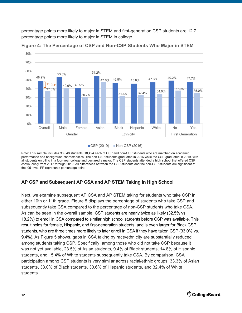<span id="page-11-0"></span>percentage points more likely to major in STEM and first-generation CSP students are 12.7 percentage points more likely to major in STEM in college.



**Figure 4: The Percentage of CSP and Non-CSP Students Who Major in STEM** 

■ CSP (2019) Non-CSP (2016)

Note: This sample includes 36,848 students, 18,424 each of CSP and non-CSP students who are matched on academic performance and background characteristics. The non-CSP students graduated in 2016 while the CSP graduated in 2019, with all students enrolling in a four-year college and declared a major. The CSP students attended a high school that offered CSP continuously from 2017 through 2019. All differences between the CSP students and the non-CSP students are significant at the .05 level. PP represents percentage point.

#### **AP CSP and Subsequent AP CSA and AP STEM Taking in High School**

Next, we examine subsequent AP CSA and AP STEM taking for students who take CSP in either 10th or 11th grade. Figure 5 displays the percentage of students who take CSP and subsequently take CSA compared to the percentage of non-CSP students who take CSA. As can be seen in the overall sample, CSP students are nearly twice as likely (32.5% vs. 18.2%) to enroll in CSA compared to similar high school students before CSP was available. This result holds for female, Hispanic, and first-generation students, and is even larger for Black CSP students, who are three times more likely to later enroll in CSA if they have taken CSP (33.0% vs. 9.4%). As Figure 5 shows, gaps in CSA taking by race/ethnicity are substantially reduced among students taking CSP. Specifically, among those who did not take CSP because it was not yet available, 23.5% of Asian students, 9.4% of Black students, 14.8% of Hispanic students, and 15.4% of White students subsequently take CSA. By comparison, CSA participation among CSP students is very similar across racial/ethnic groups: 33.3% of Asian students, 33.0% of Black students, 30.6% of Hispanic students, and 32.4% of White students.

80%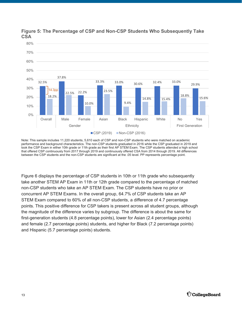

#### <span id="page-12-0"></span>**Figure 5: The Percentage of CSP and Non-CSP Students Who Subsequently Take CSA**

Figure 6 displays the percentage of CSP students in 10th or 11th grade who subsequently take another STEM AP Exam in 11th or 12th grade compared to the percentage of matched non-CSP students who take an AP STEM Exam. The CSP students have no prior or concurrent AP STEM Exams. In the overall group, 64.7% of CSP students take an AP STEM Exam compared to 60% of all non-CSP students, a difference of 4.7 percentage points. This positive difference for CSP takers is present across all student groups, although the magnitude of the difference varies by subgroup. The difference is about the same for first-generation students (4.8 percentage points), lower for Asian (2.4 percentage points) and female (2.7 percentage points) students, and higher for Black (7.2 percentage points) and Hispanic (5.7 percentage points) students.

Note: This sample includes 11,220 students, 5,610 each of CSP and non-CSP students who were matched on academic performance and background characteristics. The non-CSP students graduated in 2016 while the CSP graduated in 2019 and took the CSP Exam in either 10th grade or 11th grade as their first AP STEM Exam. The CSP students attended a high school that offered CSP continuously from 2017 through 2019 and continuously offered CSA from 2014 through 2019. All differences between the CSP students and the non-CSP students are significant at the .05 level. PP represents percentage point.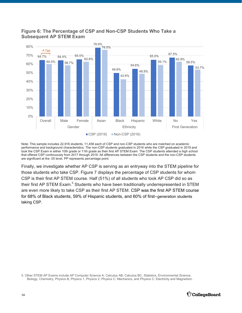<span id="page-13-0"></span>



Note: This sample includes 22,916 students, 11,458 each of CSP and non-CSP students who are matched on academic performance and background characteristics. The non-CSP students graduated in 2016 while the CSP graduated in 2019 and took the CSP Exam in either 10th grade or 11th grade as their first AP STEM Exam. The CSP students attended a high school that offered CSP continuously from 2017 through 2019. All differences between the CSP students and the non-CSP students are significant at the .05 level. PP represents percentage point.

Finally, we investigate whether AP CSP is serving as an entryway into the STEM pipeline for those students who take CSP. Figure 7 displays the percentage of CSP students for whom CSP is their first AP STEM course. Half (51%) of all students who took AP CSP did so as their first AP STEM Exam. $^5$  Students who have been traditionally underrepresented in STEM are even more likely to take CSP as their first AP STEM. CSP was the first AP STEM course for 68% of Black students, 59% of Hispanic students, and 60% of first--generation students taking CSP.

5. Other STEM AP Exams include AP Computer Science A, Calculus AB, Calculus BC, Statistics, Environmental Science, Biology, Chemistry, Physics B, Physics 1, Physics 2, Physics C: Mechanics, and Physics C: Electricity and Magnetism.

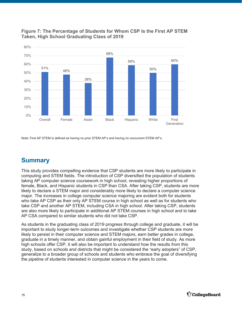

<span id="page-14-0"></span>

Note: First AP STEM is defined as having no prior STEM AP's and having no concurrent STEM AP's.

## **Summary**

This study provides compelling evidence that CSP students are more likely to participate in computing and STEM fields. The introduction of CSP diversified the population of students taking AP computer science coursework in high school, revealing higher proportions of female, Black, and Hispanic students in CSP than CSA. After taking CSP, students are more likely to declare a STEM major and considerably more likely to declare a computer science major. The increases in college computer science majoring are evident both for students who take AP CSP as their only AP STEM course in high school as well as for students who take CSP and another AP STEM, including CSA in high school. After taking CSP, students are also more likely to participate in additional AP STEM courses in high school and to take AP CSA compared to similar students who did not take CSP.

As students in the graduating class of 2019 progress through college and graduate, it will be important to study longer-term outcomes and investigate whether CSP students are more likely to persist in their computer science and STEM majors, earn better grades in college, graduate in a timely manner, and obtain gainful employment in their field of study. As more high schools offer CSP, it will also be important to understand how the results from this study, based on schools and districts that might be considered the "early adopters" of CSP, generalize to a broader group of schools and students who embrace the goal of diversifying the pipeline of students interested in computer science in the years to come.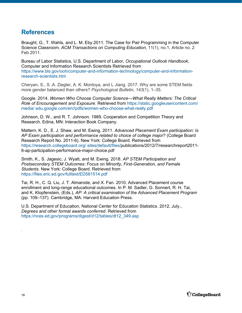## <span id="page-15-0"></span>**References**

Braught, G., T. Wahls, and L. M. Eby.2011. The Case for Pair Programming in the Computer Science Classroom. *ACM Transactions on Computing Education*, 11(1), no.1, Article no. 2 Feb 2011.

Bureau of Labor Statistics, U.S. Department of Labor, *Occupational Outlook Handbook*, Computer and Information Research Scientists Retrieved from [https://www.bls.gov/ooh/computer-and-information-technology/computer-and-information](https://www.bls.gov/ooh/computer-and-information-technology/computer-and-information-research-scientists.htm)[research-scientists.htm](https://www.bls.gov/ooh/computer-and-information-technology/computer-and-information-research-scientists.htm) 

Cheryan, S., S .A. Ziegler, A. K. Montoya, and L Jiang. 2017. Why are some STEM fields more gender balanced than others? *Psychological Bulletin, 143*(1), 1–35.

Google. 2014. *Women Who Choose Computer Science—What Really Matters: The Critical Role of Encouragement and Exposure*. Retrieved from [https://static.googleusercontent.com/](https://static.googleusercontent.com/media/edu.google.com/en//pdfs/women-who-choose-what-really.pdf) [media/ edu.google.com/en//pdfs/women-who-choose-what-really.pdf](https://static.googleusercontent.com/media/edu.google.com/en//pdfs/women-who-choose-what-really.pdf)

Johnson, D. W., and R. T. Johnson. 1989. Cooperation and Competition Theory and Research. Edina, MN: Interaction Book Company.

Mattern, K. D., E. J. Shaw, and M. Ewing. 2011. *Advanced Placement Exam participation: Is AP Exam participation and performance related to choice of college major?* (College Board Research Report No. 2011-6). New York: College Board. Retrieved from [https://research.collegeboard.org/ sites/default/files/publications/2012/7/researchreport2011-](https://research.collegeboard.org/sites/default/files/publications/2012/7/researchreport2011-6-ap-participation-performance-major-choice.pdf) 6-ap-participation-performance-major-choice.pdf

Smith, K., S. Jagesic, J. Wyatt, and M. Ewing. 2018. *AP STEM Participation and Postsecondary STEM Outcomes: Focus on Minority, First-Generation, and Female Students*. New York: College Board. Retrieved from <https://files.eric.ed.gov/fulltext/ED581514.pdf>

Tai, R. H., C. Q. Liu, J. T. Almarode, and X. Fan. 2010. Advanced Placement course enrollment and long-range educational outcomes. In P. M. Sadler, G. Sonnert, R. H. Tai, and K. Klopfenstein, (Eds.), *AP: A critical examination of the Advanced Placement Program* (pp. 109–137). Cambridge, MA: Harvard Education Press.

U.S. Department of Education, National Center for Education Statistics. 2012, July., *Degrees and other formal awards conferred*. Retrieved from [https://nces.ed.gov/programs/digest/d12/tables/dt12\\_349.asp](https://nces.ed.gov/programs/digest/d12/tables/dt12_349.asp) 

.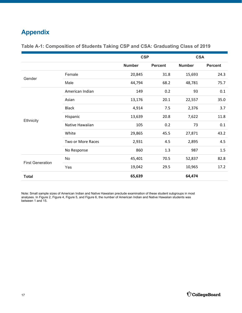## <span id="page-16-0"></span>**Appendix**

|                         |                   | <b>CSP</b>    |                | <b>CSA</b>    |                |
|-------------------------|-------------------|---------------|----------------|---------------|----------------|
|                         |                   | <b>Number</b> | <b>Percent</b> | <b>Number</b> | <b>Percent</b> |
| Gender                  | Female            | 20,845        | 31.8           | 15,693        | 24.3           |
|                         | Male              | 44,794        | 68.2           | 48,781        | 75.7           |
| Ethnicity               | American Indian   | 149           | 0.2            | 93            | 0.1            |
|                         | Asian             | 13,176        | 20.1           | 22,557        | 35.0           |
|                         | <b>Black</b>      | 4,914         | 7.5            | 2,376         | 3.7            |
|                         | Hispanic          | 13,639        | 20.8           | 7,622         | 11.8           |
|                         | Native Hawaiian   | 105           | 0.2            | 73            | 0.1            |
|                         | White             | 29,865        | 45.5           | 27,871        | 43.2           |
|                         | Two or More Races | 2,931         | 4.5            | 2,895         | 4.5            |
|                         | No Response       | 860           | 1.3            | 987           | 1.5            |
| <b>First Generation</b> | No                | 45,401        | 70.5           | 52,837        | 82.8           |
|                         | Yes               | 19,042        | 29.5           | 10,965        | 17.2           |
| <b>Total</b>            |                   | 65,639        |                | 64,474        |                |

#### **Table A-1: Composition of Students Taking CSP and CSA: Graduating Class of 2019**

Note: Small sample sizes of American Indian and Native Hawaiian preclude examination of these student subgroups in most analyses. In Figure 2, Figure 4, Figure 5, and Figure 6, the number of American Indian and Native Hawaiian students was between 1 and 15.